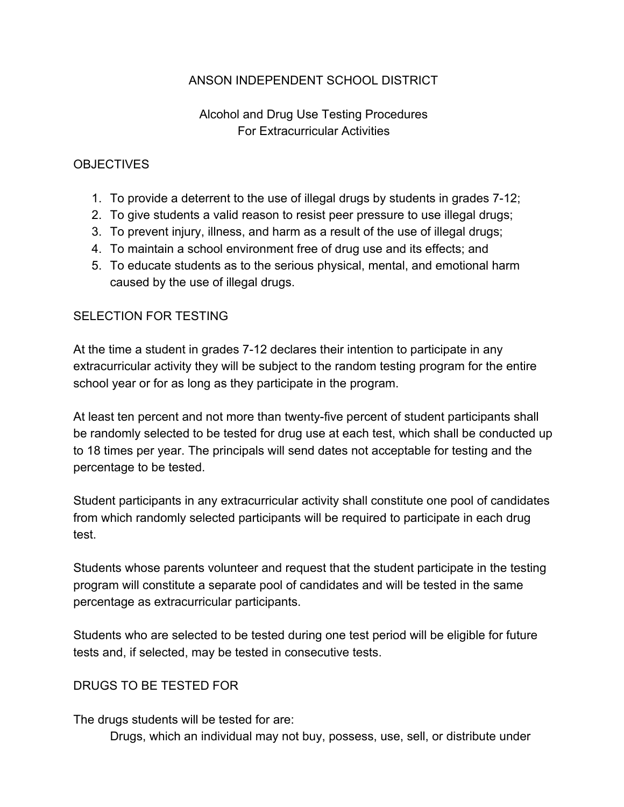### ANSON INDEPENDENT SCHOOL DISTRICT

## Alcohol and Drug Use Testing Procedures For Extracurricular Activities

#### **OBJECTIVES**

- 1. To provide a deterrent to the use of illegal drugs by students in grades 7-12;
- 2. To give students a valid reason to resist peer pressure to use illegal drugs;
- 3. To prevent injury, illness, and harm as a result of the use of illegal drugs;
- 4. To maintain a school environment free of drug use and its effects; and
- 5. To educate students as to the serious physical, mental, and emotional harm caused by the use of illegal drugs.

#### SELECTION FOR TESTING

At the time a student in grades 7-12 declares their intention to participate in any extracurricular activity they will be subject to the random testing program for the entire school year or for as long as they participate in the program.

At least ten percent and not more than twenty-five percent of student participants shall be randomly selected to be tested for drug use at each test, which shall be conducted up to 18 times per year. The principals will send dates not acceptable for testing and the percentage to be tested.

Student participants in any extracurricular activity shall constitute one pool of candidates from which randomly selected participants will be required to participate in each drug test.

Students whose parents volunteer and request that the student participate in the testing program will constitute a separate pool of candidates and will be tested in the same percentage as extracurricular participants.

Students who are selected to be tested during one test period will be eligible for future tests and, if selected, may be tested in consecutive tests.

#### DRUGS TO BE TESTED FOR

The drugs students will be tested for are:

Drugs, which an individual may not buy, possess, use, sell, or distribute under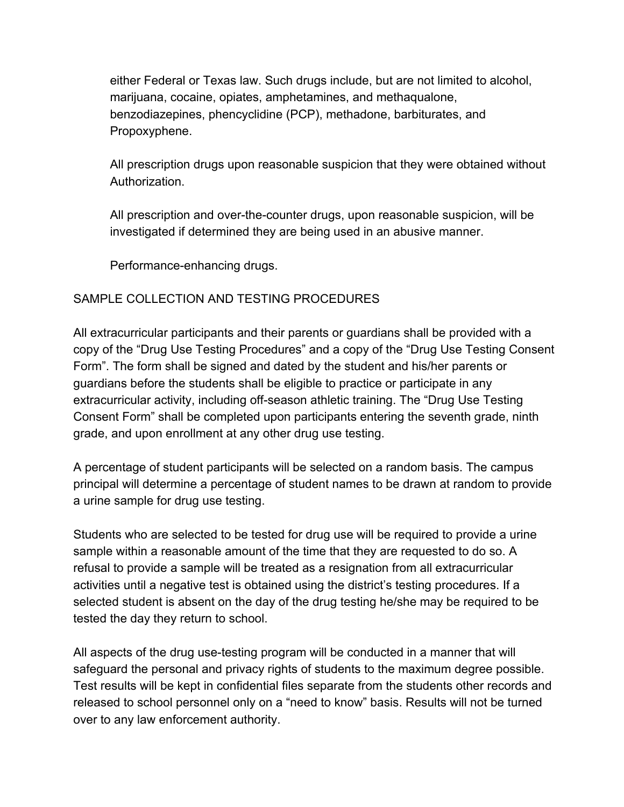either Federal or Texas law. Such drugs include, but are not limited to alcohol, marijuana, cocaine, opiates, amphetamines, and methaqualone, benzodiazepines, phencyclidine (PCP), methadone, barbiturates, and Propoxyphene.

All prescription drugs upon reasonable suspicion that they were obtained without Authorization.

All prescription and over-the-counter drugs, upon reasonable suspicion, will be investigated if determined they are being used in an abusive manner.

Performance-enhancing drugs.

### SAMPLE COLLECTION AND TESTING PROCEDURES

All extracurricular participants and their parents or guardians shall be provided with a copy of the "Drug Use Testing Procedures" and a copy of the "Drug Use Testing Consent Form". The form shall be signed and dated by the student and his/her parents or guardians before the students shall be eligible to practice or participate in any extracurricular activity, including off-season athletic training. The "Drug Use Testing Consent Form" shall be completed upon participants entering the seventh grade, ninth grade, and upon enrollment at any other drug use testing.

A percentage of student participants will be selected on a random basis. The campus principal will determine a percentage of student names to be drawn at random to provide a urine sample for drug use testing.

Students who are selected to be tested for drug use will be required to provide a urine sample within a reasonable amount of the time that they are requested to do so. A refusal to provide a sample will be treated as a resignation from all extracurricular activities until a negative test is obtained using the district's testing procedures. If a selected student is absent on the day of the drug testing he/she may be required to be tested the day they return to school.

All aspects of the drug use-testing program will be conducted in a manner that will safeguard the personal and privacy rights of students to the maximum degree possible. Test results will be kept in confidential files separate from the students other records and released to school personnel only on a "need to know" basis. Results will not be turned over to any law enforcement authority.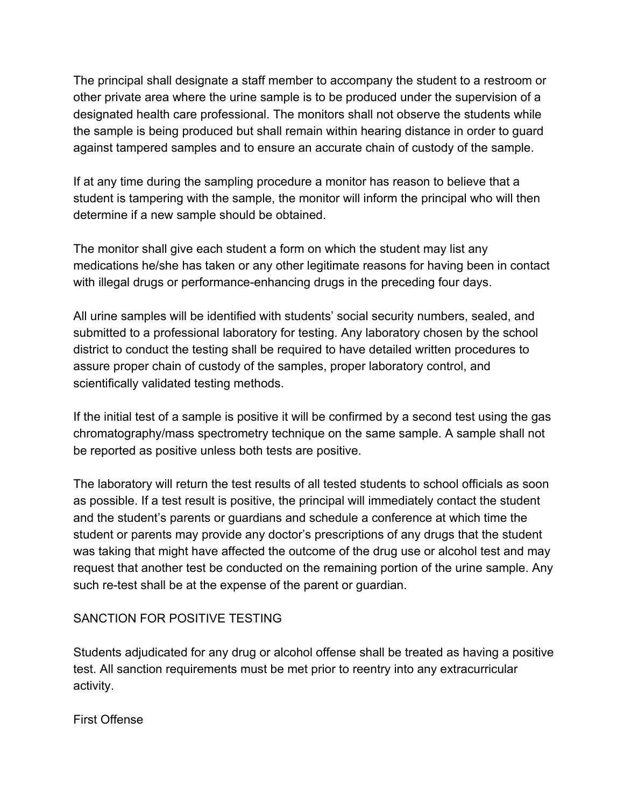The principal shall designate a staff member to accompany the student to a restroom or other private area where the urine sample is to be produced under the supervision of a designated health care professional. The monitors shall not observe the students while the sample is being produced but shall remain within hearing distance in order to guard against tampered samples and to ensure an accurate chain of custody of the sample.

If at any time during the sampling procedure a monitor has reason to believe that a student is tampering with the sample, the monitor will inform the principal who will then determine if a new sample should be obtained.

The monitor shall give each student a form on which the student may list any medications he/she has taken or any other legitimate reasons for having been in contact with illegal drugs or performance-enhancing drugs in the preceding four days.

All urine samples will be identified with students' social security numbers, sealed, and submitted to a professional laboratory for testing. Any laboratory chosen by the school district to conduct the testing shall be required to have detailed written procedures to assure proper chain of custody of the samples, proper laboratory control, and scientifically validated testing methods.

If the initial test of a sample is positive it will be confirmed by a second test using the gas chromatography/mass spectrometry technique on the same sample. A sample shall not be reported as positive unless both tests are positive.

The laboratory will return the test results of all tested students to school officials as soon as possible. If a test result is positive, the principal will immediately contact the student and the student's parents or guardians and schedule a conference at which time the student or parents may provide any doctor's prescriptions of any drugs that the student was taking that might have affected the outcome of the drug use or alcohol test and may request that another test be conducted on the remaining portion of the urine sample. Any such re-test shall be at the expense of the parent or guardian.

#### SANCTION FOR POSITIVE TESTING

Students adjudicated for any drug or alcohol offense shall be treated as having a positive test. All sanction requirements must be met prior to reentry into any extracurricular activity.

First Offense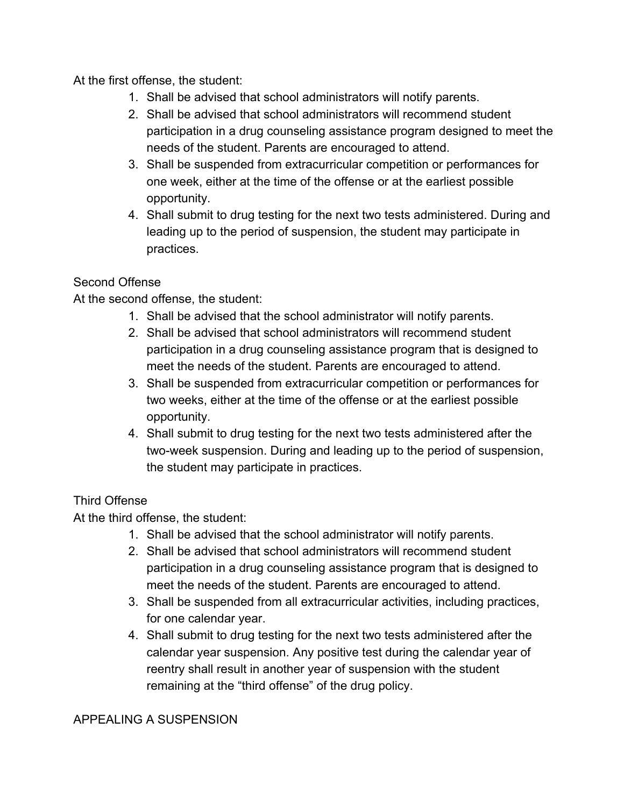At the first offense, the student:

- 1. Shall be advised that school administrators will notify parents.
- 2. Shall be advised that school administrators will recommend student participation in a drug counseling assistance program designed to meet the needs of the student. Parents are encouraged to attend.
- 3. Shall be suspended from extracurricular competition or performances for one week, either at the time of the offense or at the earliest possible opportunity.
- 4. Shall submit to drug testing for the next two tests administered. During and leading up to the period of suspension, the student may participate in practices.

# Second Offense

At the second offense, the student:

- 1. Shall be advised that the school administrator will notify parents.
- 2. Shall be advised that school administrators will recommend student participation in a drug counseling assistance program that is designed to meet the needs of the student. Parents are encouraged to attend.
- 3. Shall be suspended from extracurricular competition or performances for two weeks, either at the time of the offense or at the earliest possible opportunity.
- 4. Shall submit to drug testing for the next two tests administered after the two-week suspension. During and leading up to the period of suspension, the student may participate in practices.

# Third Offense

At the third offense, the student:

- 1. Shall be advised that the school administrator will notify parents.
- 2. Shall be advised that school administrators will recommend student participation in a drug counseling assistance program that is designed to meet the needs of the student. Parents are encouraged to attend.
- 3. Shall be suspended from all extracurricular activities, including practices, for one calendar year.
- 4. Shall submit to drug testing for the next two tests administered after the calendar year suspension. Any positive test during the calendar year of reentry shall result in another year of suspension with the student remaining at the "third offense" of the drug policy.

## APPEALING A SUSPENSION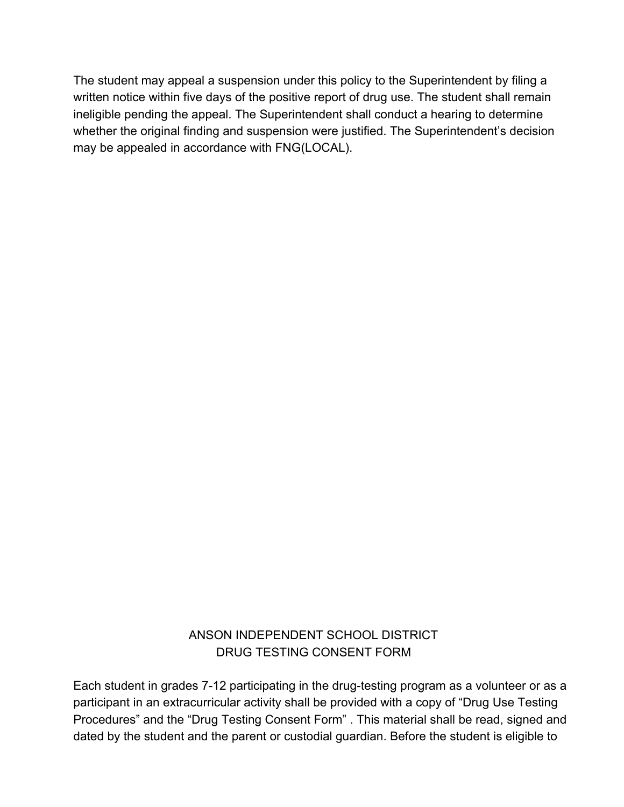The student may appeal a suspension under this policy to the Superintendent by filing a written notice within five days of the positive report of drug use. The student shall remain ineligible pending the appeal. The Superintendent shall conduct a hearing to determine whether the original finding and suspension were justified. The Superintendent's decision may be appealed in accordance with FNG(LOCAL).

## ANSON INDEPENDENT SCHOOL DISTRICT DRUG TESTING CONSENT FORM

Each student in grades 7-12 participating in the drug-testing program as a volunteer or as a participant in an extracurricular activity shall be provided with a copy of "Drug Use Testing Procedures" and the "Drug Testing Consent Form" . This material shall be read, signed and dated by the student and the parent or custodial guardian. Before the student is eligible to